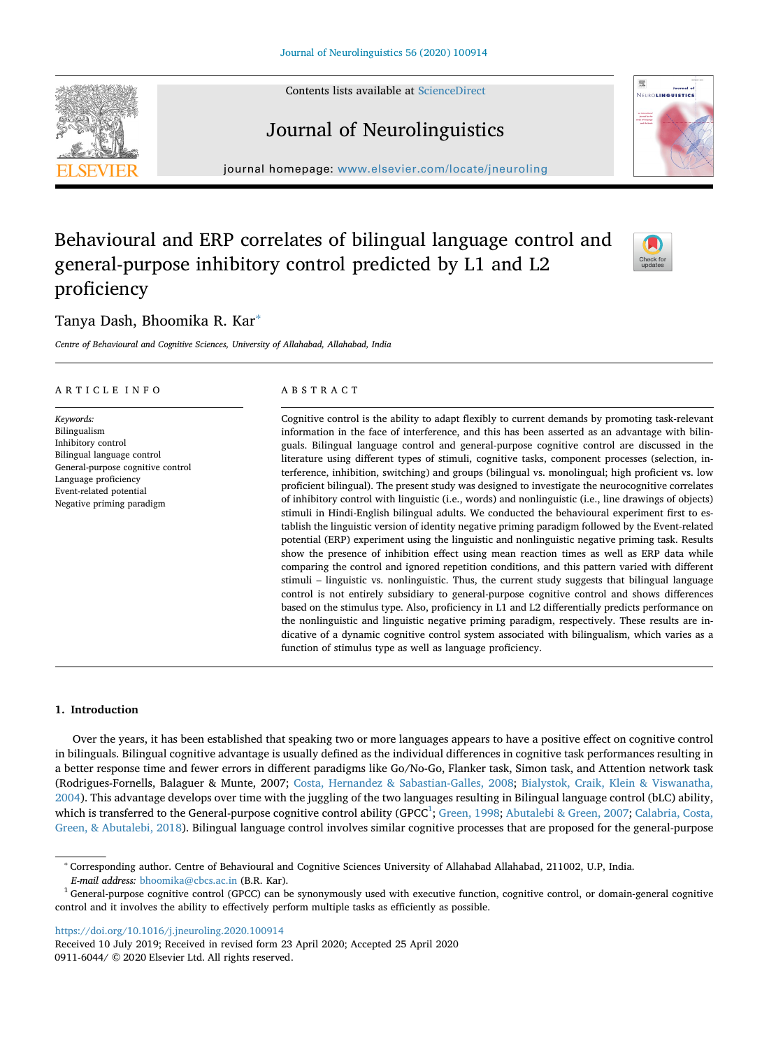Contents lists available at [ScienceDirect](http://www.sciencedirect.com/science/journal/09116044)

# Journal of Neurolinguistics

journal homepage: [www.elsevier.com/locate/jneuroling](https://www.elsevier.com/locate/jneuroling)

## Behavioural and ERP correlates of bilingual language control and general-purpose inhibitory control predicted by L1 and L2 proficiency

## Tanya Dash, Bhoomika R. Kar[∗](#page-0-0)

*Centre of Behavioural and Cognitive Sciences, University of Allahabad, Allahabad, India*

#### ARTICLE INFO

*Keywords:* Bilingualism Inhibitory control Bilingual language control General-purpose cognitive control Language proficiency Event-related potential Negative priming paradigm

## ABSTRACT

Cognitive control is the ability to adapt flexibly to current demands by promoting task-relevant information in the face of interference, and this has been asserted as an advantage with bilinguals. Bilingual language control and general-purpose cognitive control are discussed in the literature using different types of stimuli, cognitive tasks, component processes (selection, interference, inhibition, switching) and groups (bilingual vs. monolingual; high proficient vs. low proficient bilingual). The present study was designed to investigate the neurocognitive correlates of inhibitory control with linguistic (i.e., words) and nonlinguistic (i.e., line drawings of objects) stimuli in Hindi-English bilingual adults. We conducted the behavioural experiment first to establish the linguistic version of identity negative priming paradigm followed by the Event-related potential (ERP) experiment using the linguistic and nonlinguistic negative priming task. Results show the presence of inhibition effect using mean reaction times as well as ERP data while comparing the control and ignored repetition conditions, and this pattern varied with different stimuli – linguistic vs. nonlinguistic. Thus, the current study suggests that bilingual language control is not entirely subsidiary to general-purpose cognitive control and shows differences based on the stimulus type. Also, proficiency in L1 and L2 differentially predicts performance on the nonlinguistic and linguistic negative priming paradigm, respectively. These results are indicative of a dynamic cognitive control system associated with bilingualism, which varies as a function of stimulus type as well as language proficiency.

#### **1. Introduction**

Over the years, it has been established that speaking two or more languages appears to have a positive effect on cognitive control in bilinguals. Bilingual cognitive advantage is usually defined as the individual differences in cognitive task performances resulting in a better response time and fewer errors in different paradigms like Go/No-Go, Flanker task, Simon task, and Attention network task (Rodrigues-Fornells, Balaguer & Munte, 2007; [Costa, Hernandez & Sabastian-Galles, 2008;](#page-12-0) [Bialystok, Craik, Klein & Viswanatha,](#page-11-0) [2004\)](#page-11-0). This advantage develops over time with the juggling of the two languages resulting in Bilingual language control (bLC) ability, which is transferred to the General-purpose cognitive control ability (GPCC<sup>1</sup>; [Green, 1998](#page-12-1); [Abutalebi & Green, 2007;](#page-11-1) [Calabria, Costa,](#page-12-2) [Green, & Abutalebi, 2018\)](#page-12-2). Bilingual language control involves similar cognitive processes that are proposed for the general-purpose

<https://doi.org/10.1016/j.jneuroling.2020.100914>

Received 10 July 2019; Received in revised form 23 April 2020; Accepted 25 April 2020 0911-6044/ © 2020 Elsevier Ltd. All rights reserved.







<span id="page-0-0"></span><sup>∗</sup> Corresponding author. Centre of Behavioural and Cognitive Sciences University of Allahabad Allahabad, 211002, U.P, India.

*E-mail address:* [bhoomika@cbcs.ac.in](mailto:bhoomika@cbcs.ac.in) (B.R. Kar).

<span id="page-0-1"></span> $1$  General-purpose cognitive control (GPCC) can be synonymously used with executive function, cognitive control, or domain-general cognitive control and it involves the ability to effectively perform multiple tasks as efficiently as possible.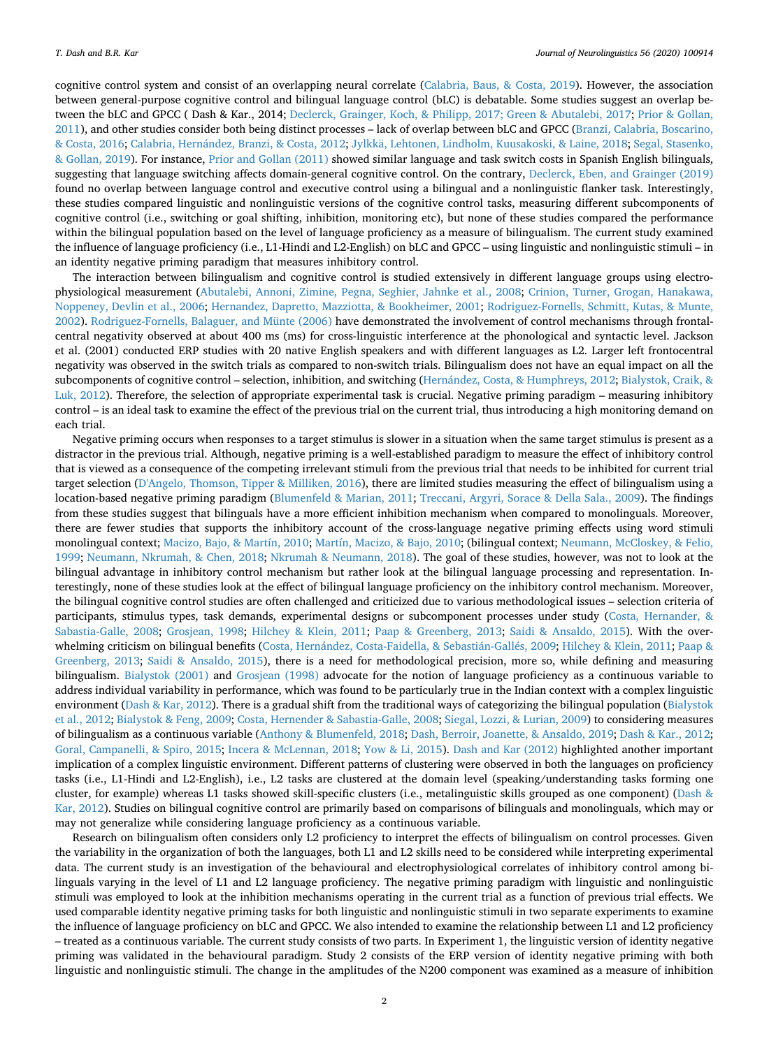cognitive control system and consist of an overlapping neural correlate [\(Calabria, Baus, & Costa, 2019](#page-11-2)). However, the association between general-purpose cognitive control and bilingual language control (bLC) is debatable. Some studies suggest an overlap between the bLC and GPCC ( Dash & Kar., 2014; [Declerck, Grainger, Koch, & Philipp, 2017; Green & Abutalebi, 2017](#page-12-3); [Prior & Gollan,](#page-12-4) [2011\)](#page-12-4), and other studies consider both being distinct processes – lack of overlap between bLC and GPCC ([Branzi, Calabria, Boscarino,](#page-11-3) [& Costa, 2016](#page-11-3); [Calabria, Hernández, Branzi, & Costa, 2012;](#page-12-5) [Jylkkä, Lehtonen, Lindholm, Kuusakoski, & Laine, 2018;](#page-12-6) [Segal, Stasenko,](#page-12-7) [& Gollan, 2019\)](#page-12-7). For instance, [Prior and Gollan \(2011\)](#page-12-4) showed similar language and task switch costs in Spanish English bilinguals, suggesting that language switching affects domain-general cognitive control. On the contrary, [Declerck, Eben, and Grainger \(2019\)](#page-12-8) found no overlap between language control and executive control using a bilingual and a nonlinguistic flanker task. Interestingly, these studies compared linguistic and nonlinguistic versions of the cognitive control tasks, measuring different subcomponents of cognitive control (i.e., switching or goal shifting, inhibition, monitoring etc), but none of these studies compared the performance within the bilingual population based on the level of language proficiency as a measure of bilingualism. The current study examined the influence of language proficiency (i.e., L1-Hindi and L2-English) on bLC and GPCC – using linguistic and nonlinguistic stimuli – in an identity negative priming paradigm that measures inhibitory control.

The interaction between bilingualism and cognitive control is studied extensively in different language groups using electrophysiological measurement ([Abutalebi, Annoni, Zimine, Pegna, Seghier, Jahnke et al., 2008](#page-11-4); [Crinion, Turner, Grogan, Hanakawa,](#page-12-9) [Noppeney, Devlin et al., 2006;](#page-12-9) [Hernandez, Dapretto, Mazziotta, & Bookheimer, 2001](#page-12-10); [Rodriguez-Fornells, Schmitt, Kutas, & Munte,](#page-12-11) [2002\)](#page-12-11). [Rodriguez-Fornells, Balaguer, and Münte \(2006\)](#page-12-12) have demonstrated the involvement of control mechanisms through frontalcentral negativity observed at about 400 ms (ms) for cross-linguistic interference at the phonological and syntactic level. Jackson et al. (2001) conducted ERP studies with 20 native English speakers and with different languages as L2. Larger left frontocentral negativity was observed in the switch trials as compared to non-switch trials. Bilingualism does not have an equal impact on all the subcomponents of cognitive control – selection, inhibition, and switching ([Hernández, Costa, & Humphreys, 2012;](#page-12-13) [Bialystok, Craik, &](#page-11-5) [Luk, 2012\)](#page-11-5). Therefore, the selection of appropriate experimental task is crucial. Negative priming paradigm – measuring inhibitory control – is an ideal task to examine the effect of the previous trial on the current trial, thus introducing a high monitoring demand on each trial.

Negative priming occurs when responses to a target stimulus is slower in a situation when the same target stimulus is present as a distractor in the previous trial. Although, negative priming is a well-established paradigm to measure the effect of inhibitory control that is viewed as a consequence of the competing irrelevant stimuli from the previous trial that needs to be inhibited for current trial target selection [\(D'Angelo, Thomson, Tipper & Milliken, 2016\)](#page-12-14), there are limited studies measuring the effect of bilingualism using a location-based negative priming paradigm [\(Blumenfeld & Marian, 2011;](#page-11-6) [Treccani, Argyri, Sorace & Della Sala., 2009](#page-13-0)). The findings from these studies suggest that bilinguals have a more efficient inhibition mechanism when compared to monolinguals. Moreover, there are fewer studies that supports the inhibitory account of the cross-language negative priming effects using word stimuli monolingual context; [Macizo, Bajo, & Martín, 2010;](#page-12-15) [Martín, Macizo, & Bajo, 2010](#page-12-16); (bilingual context; [Neumann, McCloskey, & Felio,](#page-12-17) [1999;](#page-12-17) [Neumann, Nkrumah, & Chen, 2018](#page-12-18); [Nkrumah & Neumann, 2018](#page-12-19)). The goal of these studies, however, was not to look at the bilingual advantage in inhibitory control mechanism but rather look at the bilingual language processing and representation. Interestingly, none of these studies look at the effect of bilingual language proficiency on the inhibitory control mechanism. Moreover, the bilingual cognitive control studies are often challenged and criticized due to various methodological issues – selection criteria of participants, stimulus types, task demands, experimental designs or subcomponent processes under study [\(Costa, Hernander, &](#page-12-0) [Sabastia-Galle, 2008](#page-12-0); [Grosjean, 1998;](#page-12-20) [Hilchey & Klein, 2011;](#page-12-21) [Paap & Greenberg, 2013;](#page-12-22) [Saidi & Ansaldo, 2015](#page-12-23)). With the overwhelming criticism on bilingual benefits ([Costa, Hernández, Costa-Faidella, & Sebastián-Gallés, 2009;](#page-12-24) [Hilchey & Klein, 2011;](#page-12-21) [Paap &](#page-12-22) [Greenberg, 2013](#page-12-22); [Saidi & Ansaldo, 2015](#page-12-23)), there is a need for methodological precision, more so, while defining and measuring bilingualism. [Bialystok \(2001\)](#page-11-7) and [Grosjean \(1998\)](#page-12-20) advocate for the notion of language proficiency as a continuous variable to address individual variability in performance, which was found to be particularly true in the Indian context with a complex linguistic environment ([Dash & Kar, 2012\)](#page-12-25). There is a gradual shift from the traditional ways of categorizing the bilingual population ([Bialystok](#page-11-5) [et al., 2012](#page-11-5); [Bialystok & Feng, 2009;](#page-11-8) [Costa, Hernender & Sabastia-Galle, 2008;](#page-12-0) [Siegal, Lozzi, & Lurian, 2009\)](#page-12-26) to considering measures of bilingualism as a continuous variable ([Anthony & Blumenfeld, 2018;](#page-11-9) [Dash, Berroir, Joanette, & Ansaldo, 2019;](#page-12-27) [Dash & Kar., 2012](#page-12-25); [Goral, Campanelli, & Spiro, 2015;](#page-12-28) [Incera & McLennan, 2018](#page-12-29); [Yow & Li, 2015](#page-13-1)). [Dash and Kar \(2012\)](#page-12-25) highlighted another important implication of a complex linguistic environment. Different patterns of clustering were observed in both the languages on proficiency tasks (i.e., L1-Hindi and L2-English), i.e., L2 tasks are clustered at the domain level (speaking/understanding tasks forming one cluster, for example) whereas L1 tasks showed skill-specific clusters (i.e., metalinguistic skills grouped as one component) ([Dash &](#page-12-25) [Kar, 2012\)](#page-12-25). Studies on bilingual cognitive control are primarily based on comparisons of bilinguals and monolinguals, which may or may not generalize while considering language proficiency as a continuous variable.

Research on bilingualism often considers only L2 proficiency to interpret the effects of bilingualism on control processes. Given the variability in the organization of both the languages, both L1 and L2 skills need to be considered while interpreting experimental data. The current study is an investigation of the behavioural and electrophysiological correlates of inhibitory control among bilinguals varying in the level of L1 and L2 language proficiency. The negative priming paradigm with linguistic and nonlinguistic stimuli was employed to look at the inhibition mechanisms operating in the current trial as a function of previous trial effects. We used comparable identity negative priming tasks for both linguistic and nonlinguistic stimuli in two separate experiments to examine the influence of language proficiency on bLC and GPCC. We also intended to examine the relationship between L1 and L2 proficiency – treated as a continuous variable. The current study consists of two parts. In Experiment 1, the linguistic version of identity negative priming was validated in the behavioural paradigm. Study 2 consists of the ERP version of identity negative priming with both linguistic and nonlinguistic stimuli. The change in the amplitudes of the N200 component was examined as a measure of inhibition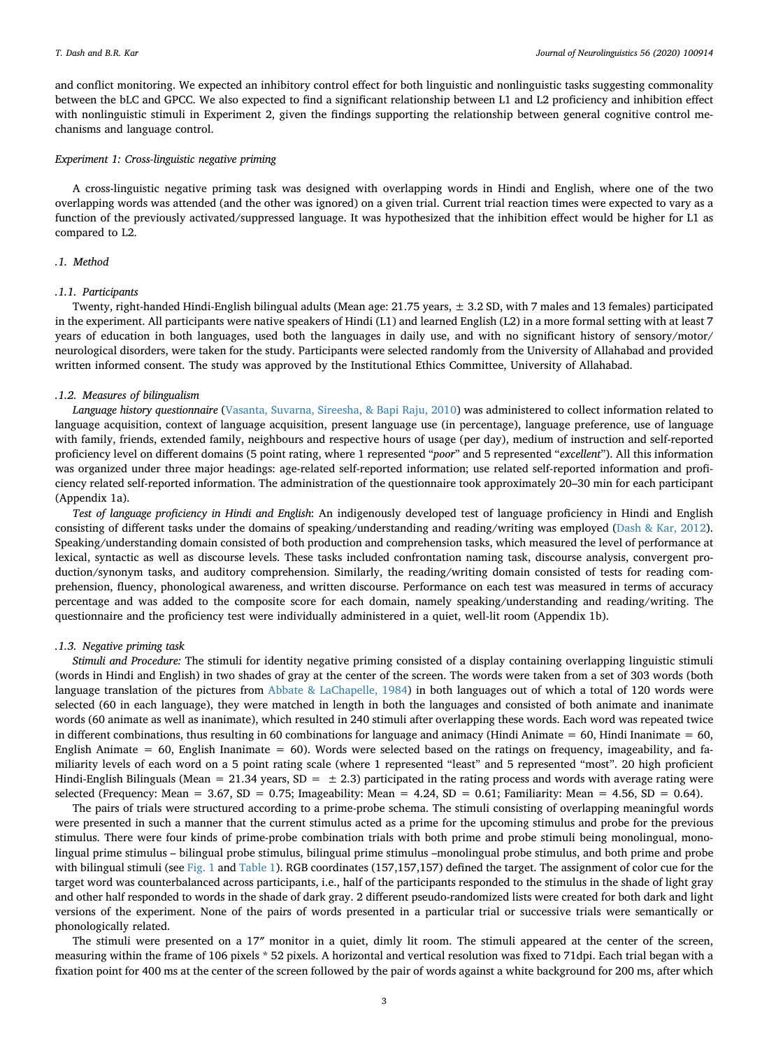and conflict monitoring. We expected an inhibitory control effect for both linguistic and nonlinguistic tasks suggesting commonality between the bLC and GPCC. We also expected to find a significant relationship between L1 and L2 proficiency and inhibition effect with nonlinguistic stimuli in Experiment 2, given the findings supporting the relationship between general cognitive control mechanisms and language control.

#### *Experiment 1: Cross-linguistic negative priming*

A cross-linguistic negative priming task was designed with overlapping words in Hindi and English, where one of the two overlapping words was attended (and the other was ignored) on a given trial. Current trial reaction times were expected to vary as a function of the previously activated/suppressed language. It was hypothesized that the inhibition effect would be higher for L1 as compared to L2.

## *.1. Method*

#### *.1.1. Participants*

Twenty, right-handed Hindi-English bilingual adults (Mean age: 21.75 years, ± 3.2 SD, with 7 males and 13 females) participated in the experiment. All participants were native speakers of Hindi (L1) and learned English (L2) in a more formal setting with at least 7 years of education in both languages, used both the languages in daily use, and with no significant history of sensory/motor/ neurological disorders, were taken for the study. Participants were selected randomly from the University of Allahabad and provided written informed consent. The study was approved by the Institutional Ethics Committee, University of Allahabad.

#### *.1.2. Measures of bilingualism*

*Language history questionnaire* ([Vasanta, Suvarna, Sireesha, & Bapi Raju, 2010](#page-13-2)) was administered to collect information related to language acquisition, context of language acquisition, present language use (in percentage), language preference, use of language with family, friends, extended family, neighbours and respective hours of usage (per day), medium of instruction and self-reported proficiency level on different domains (5 point rating, where 1 represented "*poor*" and 5 represented "*excellent*"). All this information was organized under three major headings: age-related self-reported information; use related self-reported information and proficiency related self-reported information. The administration of the questionnaire took approximately 20–30 min for each participant (Appendix 1a).

*Test of language proficiency in Hindi and English*: An indigenously developed test of language proficiency in Hindi and English consisting of different tasks under the domains of speaking/understanding and reading/writing was employed ([Dash & Kar, 2012](#page-12-25)). Speaking/understanding domain consisted of both production and comprehension tasks, which measured the level of performance at lexical, syntactic as well as discourse levels. These tasks included confrontation naming task, discourse analysis, convergent production/synonym tasks, and auditory comprehension. Similarly, the reading/writing domain consisted of tests for reading comprehension, fluency, phonological awareness, and written discourse. Performance on each test was measured in terms of accuracy percentage and was added to the composite score for each domain, namely speaking/understanding and reading/writing. The questionnaire and the proficiency test were individually administered in a quiet, well-lit room (Appendix 1b).

#### *.1.3. Negative priming task*

*Stimuli and Procedure:* The stimuli for identity negative priming consisted of a display containing overlapping linguistic stimuli (words in Hindi and English) in two shades of gray at the center of the screen. The words were taken from a set of 303 words (both language translation of the pictures from [Abbate & LaChapelle, 1984\)](#page-11-10) in both languages out of which a total of 120 words were selected (60 in each language), they were matched in length in both the languages and consisted of both animate and inanimate words (60 animate as well as inanimate), which resulted in 240 stimuli after overlapping these words. Each word was repeated twice in different combinations, thus resulting in 60 combinations for language and animacy (Hindi Animate =  $60$ , Hindi Inanimate =  $60$ , English Animate =  $60$ , English Inanimate =  $60$ ). Words were selected based on the ratings on frequency, imageability, and familiarity levels of each word on a 5 point rating scale (where 1 represented "least" and 5 represented "most". 20 high proficient Hindi-English Bilinguals (Mean = 21.34 years,  $SD = \pm 2.3$ ) participated in the rating process and words with average rating were selected (Frequency: Mean = 3.67, SD = 0.75; Imageability: Mean = 4.24, SD = 0.61; Familiarity: Mean = 4.56, SD = 0.64).

The pairs of trials were structured according to a prime-probe schema. The stimuli consisting of overlapping meaningful words were presented in such a manner that the current stimulus acted as a prime for the upcoming stimulus and probe for the previous stimulus. There were four kinds of prime-probe combination trials with both prime and probe stimuli being monolingual, monolingual prime stimulus – bilingual probe stimulus, bilingual prime stimulus –monolingual probe stimulus, and both prime and probe with bilingual stimuli (see [Fig. 1](#page-3-0) and [Table 1](#page-4-0)). RGB coordinates (157,157,157) defined the target. The assignment of color cue for the target word was counterbalanced across participants, i.e., half of the participants responded to the stimulus in the shade of light gray and other half responded to words in the shade of dark gray. 2 different pseudo-randomized lists were created for both dark and light versions of the experiment. None of the pairs of words presented in a particular trial or successive trials were semantically or phonologically related.

The stimuli were presented on a 17″ monitor in a quiet, dimly lit room. The stimuli appeared at the center of the screen, measuring within the frame of 106 pixels \* 52 pixels. A horizontal and vertical resolution was fixed to 71dpi. Each trial began with a fixation point for 400 ms at the center of the screen followed by the pair of words against a white background for 200 ms, after which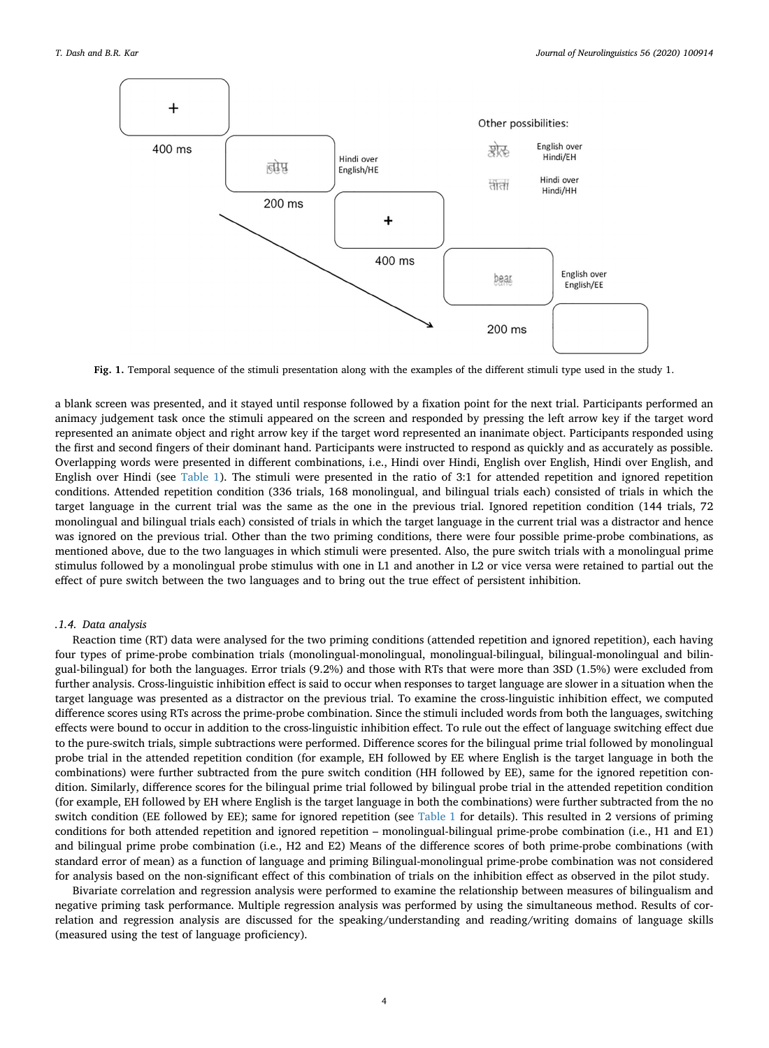<span id="page-3-0"></span>

**Fig. 1.** Temporal sequence of the stimuli presentation along with the examples of the different stimuli type used in the study 1.

a blank screen was presented, and it stayed until response followed by a fixation point for the next trial. Participants performed an animacy judgement task once the stimuli appeared on the screen and responded by pressing the left arrow key if the target word represented an animate object and right arrow key if the target word represented an inanimate object. Participants responded using the first and second fingers of their dominant hand. Participants were instructed to respond as quickly and as accurately as possible. Overlapping words were presented in different combinations, i.e., Hindi over Hindi, English over English, Hindi over English, and English over Hindi (see [Table 1\)](#page-4-0). The stimuli were presented in the ratio of 3:1 for attended repetition and ignored repetition conditions. Attended repetition condition (336 trials, 168 monolingual, and bilingual trials each) consisted of trials in which the target language in the current trial was the same as the one in the previous trial. Ignored repetition condition (144 trials, 72 monolingual and bilingual trials each) consisted of trials in which the target language in the current trial was a distractor and hence was ignored on the previous trial. Other than the two priming conditions, there were four possible prime-probe combinations, as mentioned above, due to the two languages in which stimuli were presented. Also, the pure switch trials with a monolingual prime stimulus followed by a monolingual probe stimulus with one in L1 and another in L2 or vice versa were retained to partial out the effect of pure switch between the two languages and to bring out the true effect of persistent inhibition.

#### *.1.4. Data analysis*

Reaction time (RT) data were analysed for the two priming conditions (attended repetition and ignored repetition), each having four types of prime-probe combination trials (monolingual-monolingual, monolingual-bilingual, bilingual-monolingual and bilingual-bilingual) for both the languages. Error trials (9.2%) and those with RTs that were more than 3SD (1.5%) were excluded from further analysis. Cross-linguistic inhibition effect is said to occur when responses to target language are slower in a situation when the target language was presented as a distractor on the previous trial. To examine the cross-linguistic inhibition effect, we computed difference scores using RTs across the prime-probe combination. Since the stimuli included words from both the languages, switching effects were bound to occur in addition to the cross-linguistic inhibition effect. To rule out the effect of language switching effect due to the pure-switch trials, simple subtractions were performed. Difference scores for the bilingual prime trial followed by monolingual probe trial in the attended repetition condition (for example, EH followed by EE where English is the target language in both the combinations) were further subtracted from the pure switch condition (HH followed by EE), same for the ignored repetition condition. Similarly, difference scores for the bilingual prime trial followed by bilingual probe trial in the attended repetition condition (for example, EH followed by EH where English is the target language in both the combinations) were further subtracted from the no switch condition (EE followed by EE); same for ignored repetition (see [Table 1](#page-4-0) for details). This resulted in 2 versions of priming conditions for both attended repetition and ignored repetition – monolingual-bilingual prime-probe combination (i.e., H1 and E1) and bilingual prime probe combination (i.e., H2 and E2) Means of the difference scores of both prime-probe combinations (with standard error of mean) as a function of language and priming Bilingual-monolingual prime-probe combination was not considered for analysis based on the non-significant effect of this combination of trials on the inhibition effect as observed in the pilot study.

Bivariate correlation and regression analysis were performed to examine the relationship between measures of bilingualism and negative priming task performance. Multiple regression analysis was performed by using the simultaneous method. Results of correlation and regression analysis are discussed for the speaking/understanding and reading/writing domains of language skills (measured using the test of language proficiency).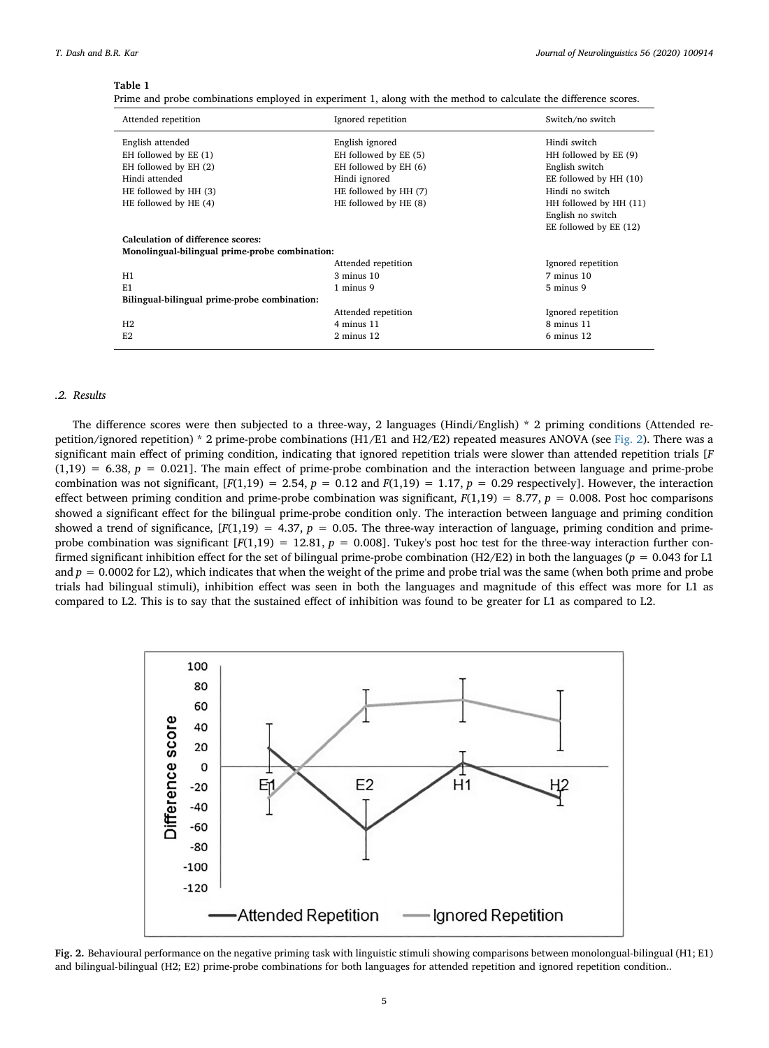## <span id="page-4-0"></span>**Table 1**

|  |  |  | Prime and probe combinations employed in experiment 1, along with the method to calculate the difference scores. |
|--|--|--|------------------------------------------------------------------------------------------------------------------|
|--|--|--|------------------------------------------------------------------------------------------------------------------|

| Attended repetition                            | Ignored repetition    | Switch/no switch       |  |  |
|------------------------------------------------|-----------------------|------------------------|--|--|
| English attended                               | English ignored       | Hindi switch           |  |  |
| EH followed by EE (1)                          | EH followed by EE (5) | HH followed by EE (9)  |  |  |
| EH followed by EH (2)                          | EH followed by EH (6) | English switch         |  |  |
| Hindi attended                                 | Hindi ignored         | EE followed by HH (10) |  |  |
| HE followed by HH (3)                          | HE followed by HH (7) | Hindi no switch        |  |  |
| HE followed by HE (4)                          | HE followed by HE (8) | HH followed by HH (11) |  |  |
|                                                |                       | English no switch      |  |  |
|                                                |                       | EE followed by EE (12) |  |  |
| Calculation of difference scores:              |                       |                        |  |  |
| Monolingual-bilingual prime-probe combination: |                       |                        |  |  |
|                                                | Attended repetition   | Ignored repetition     |  |  |
| H1                                             | $3$ minus $10$        | 7 minus 10             |  |  |
| E1                                             | 1 minus 9             | 5 minus 9              |  |  |
| Bilingual-bilingual prime-probe combination:   |                       |                        |  |  |
|                                                | Attended repetition   | Ignored repetition     |  |  |
| H2                                             | 4 minus 11            | 8 minus 11             |  |  |
| E2                                             | $2$ minus $12$        | 6 minus 12             |  |  |
|                                                |                       |                        |  |  |

## *.2. Results*

The difference scores were then subjected to a three-way, 2 languages (Hindi/English) \* 2 priming conditions (Attended re-petition/ignored repetition) \* 2 prime-probe combinations (H1/E1 and H2/E2) repeated measures ANOVA (see [Fig. 2](#page-4-1)). There was a significant main effect of priming condition, indicating that ignored repetition trials were slower than attended repetition trials [*F*  $(1,19) = 6.38$ ,  $p = 0.021$ . The main effect of prime-probe combination and the interaction between language and prime-probe combination was not significant,  $[F(1,19) = 2.54, p = 0.12$  and  $F(1,19) = 1.17, p = 0.29$  respectively]. However, the interaction effect between priming condition and prime-probe combination was significant,  $F(1,19) = 8.77$ ,  $p = 0.008$ . Post hoc comparisons showed a significant effect for the bilingual prime-probe condition only. The interaction between language and priming condition showed a trend of significance,  $[F(1,19) = 4.37, p = 0.05$ . The three-way interaction of language, priming condition and primeprobe combination was significant  $[F(1,19) = 12.81, p = 0.008]$ . Tukey's post hoc test for the three-way interaction further confirmed significant inhibition effect for the set of bilingual prime-probe combination (H2/E2) in both the languages ( $p = 0.043$  for L1 and  $p = 0.0002$  for L2), which indicates that when the weight of the prime and probe trial was the same (when both prime and probe trials had bilingual stimuli), inhibition effect was seen in both the languages and magnitude of this effect was more for L1 as compared to L2. This is to say that the sustained effect of inhibition was found to be greater for L1 as compared to L2.

<span id="page-4-1"></span>

**Fig. 2.** Behavioural performance on the negative priming task with linguistic stimuli showing comparisons between monolongual-bilingual (H1; E1) and bilingual-bilingual (H2; E2) prime-probe combinations for both languages for attended repetition and ignored repetition condition..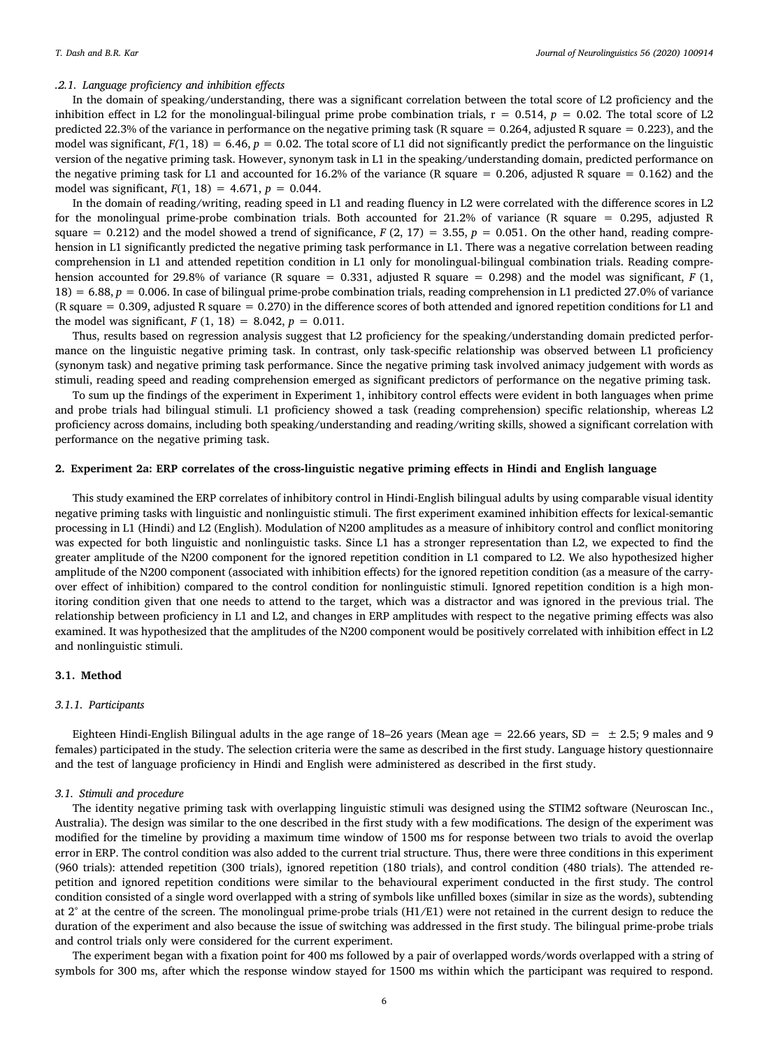#### *.2.1. Language proficiency and inhibition effects*

In the domain of speaking/understanding, there was a significant correlation between the total score of L2 proficiency and the inhibition effect in L2 for the monolingual-bilingual prime probe combination trials,  $r = 0.514$ ,  $p = 0.02$ . The total score of L2 predicted 22.3% of the variance in performance on the negative priming task (R square = 0.264, adjusted R square = 0.223), and the model was significant,  $F(1, 18) = 6.46$ ,  $p = 0.02$ . The total score of L1 did not significantly predict the performance on the linguistic version of the negative priming task. However, synonym task in L1 in the speaking/understanding domain, predicted performance on the negative priming task for L1 and accounted for 16.2% of the variance (R square  $= 0.206$ , adjusted R square  $= 0.162$ ) and the model was significant,  $F(1, 18) = 4.671$ ,  $p = 0.044$ .

In the domain of reading/writing, reading speed in L1 and reading fluency in L2 were correlated with the difference scores in L2 for the monolingual prime-probe combination trials. Both accounted for 21.2% of variance (R square = 0.295, adjusted R square  $= 0.212$ ) and the model showed a trend of significance,  $F(2, 17) = 3.55$ ,  $p = 0.051$ . On the other hand, reading comprehension in L1 significantly predicted the negative priming task performance in L1. There was a negative correlation between reading comprehension in L1 and attended repetition condition in L1 only for monolingual-bilingual combination trials. Reading comprehension accounted for 29.8% of variance (R square = 0.331, adjusted R square = 0.298) and the model was significant, *F* (1, 18) = 6.88, *p* = 0.006. In case of bilingual prime-probe combination trials, reading comprehension in L1 predicted 27.0% of variance (R square = 0.309, adjusted R square = 0.270) in the difference scores of both attended and ignored repetition conditions for L1 and the model was significant,  $F(1, 18) = 8.042$ ,  $p = 0.011$ .

Thus, results based on regression analysis suggest that L2 proficiency for the speaking/understanding domain predicted performance on the linguistic negative priming task. In contrast, only task-specific relationship was observed between L1 proficiency (synonym task) and negative priming task performance. Since the negative priming task involved animacy judgement with words as stimuli, reading speed and reading comprehension emerged as significant predictors of performance on the negative priming task.

To sum up the findings of the experiment in Experiment 1, inhibitory control effects were evident in both languages when prime and probe trials had bilingual stimuli. L1 proficiency showed a task (reading comprehension) specific relationship, whereas L2 proficiency across domains, including both speaking/understanding and reading/writing skills, showed a significant correlation with performance on the negative priming task.

### **2. Experiment 2a: ERP correlates of the cross-linguistic negative priming effects in Hindi and English language**

This study examined the ERP correlates of inhibitory control in Hindi-English bilingual adults by using comparable visual identity negative priming tasks with linguistic and nonlinguistic stimuli. The first experiment examined inhibition effects for lexical-semantic processing in L1 (Hindi) and L2 (English). Modulation of N200 amplitudes as a measure of inhibitory control and conflict monitoring was expected for both linguistic and nonlinguistic tasks. Since L1 has a stronger representation than L2, we expected to find the greater amplitude of the N200 component for the ignored repetition condition in L1 compared to L2. We also hypothesized higher amplitude of the N200 component (associated with inhibition effects) for the ignored repetition condition (as a measure of the carryover effect of inhibition) compared to the control condition for nonlinguistic stimuli. Ignored repetition condition is a high monitoring condition given that one needs to attend to the target, which was a distractor and was ignored in the previous trial. The relationship between proficiency in L1 and L2, and changes in ERP amplitudes with respect to the negative priming effects was also examined. It was hypothesized that the amplitudes of the N200 component would be positively correlated with inhibition effect in L2 and nonlinguistic stimuli.

#### **3.1. Method**

#### *3.1.1. Participants*

Eighteen Hindi-English Bilingual adults in the age range of 18–26 years (Mean age = 22.66 years, SD =  $\pm$  2.5; 9 males and 9 females) participated in the study. The selection criteria were the same as described in the first study. Language history questionnaire and the test of language proficiency in Hindi and English were administered as described in the first study.

## *3.1. Stimuli and procedure*

The identity negative priming task with overlapping linguistic stimuli was designed using the STIM2 software (Neuroscan Inc., Australia). The design was similar to the one described in the first study with a few modifications. The design of the experiment was modified for the timeline by providing a maximum time window of 1500 ms for response between two trials to avoid the overlap error in ERP. The control condition was also added to the current trial structure. Thus, there were three conditions in this experiment (960 trials): attended repetition (300 trials), ignored repetition (180 trials), and control condition (480 trials). The attended repetition and ignored repetition conditions were similar to the behavioural experiment conducted in the first study. The control condition consisted of a single word overlapped with a string of symbols like unfilled boxes (similar in size as the words), subtending at  $2^{\circ}$  at the centre of the screen. The monolingual prime-probe trials (H1/E1) were not retained in the current design to reduce the duration of the experiment and also because the issue of switching was addressed in the first study. The bilingual prime-probe trials and control trials only were considered for the current experiment.

The experiment began with a fixation point for 400 ms followed by a pair of overlapped words/words overlapped with a string of symbols for 300 ms, after which the response window stayed for 1500 ms within which the participant was required to respond.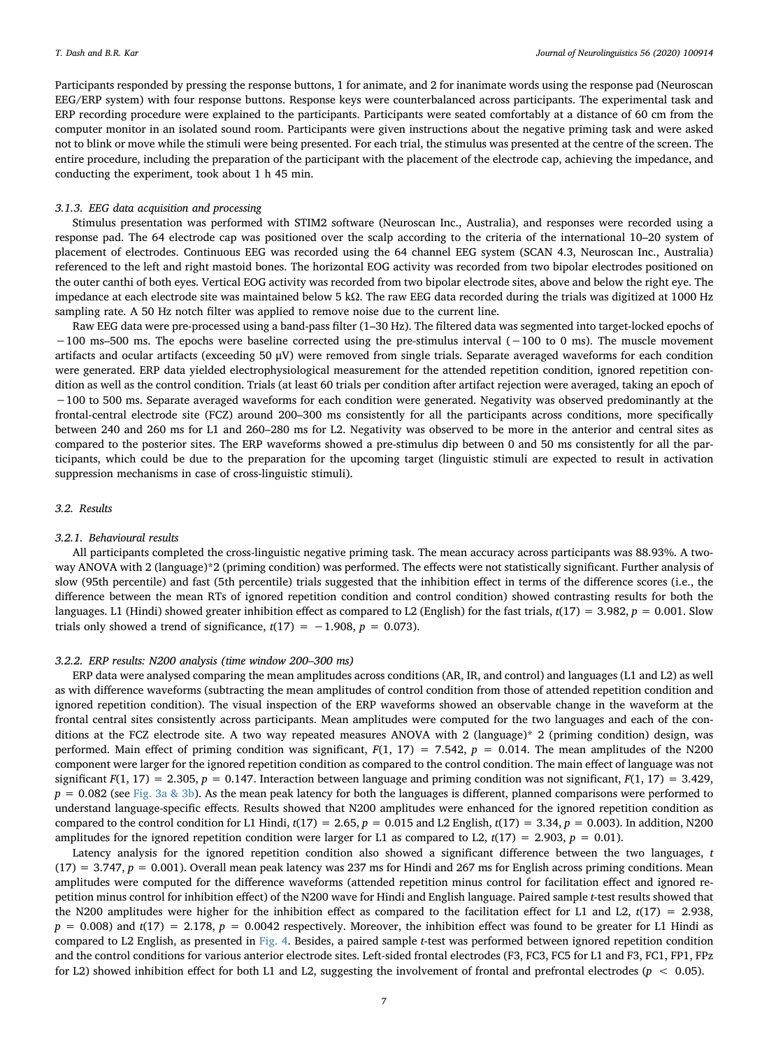Participants responded by pressing the response buttons, 1 for animate, and 2 for inanimate words using the response pad (Neuroscan EEG/ERP system) with four response buttons. Response keys were counterbalanced across participants. The experimental task and ERP recording procedure were explained to the participants. Participants were seated comfortably at a distance of 60 cm from the computer monitor in an isolated sound room. Participants were given instructions about the negative priming task and were asked not to blink or move while the stimuli were being presented. For each trial, the stimulus was presented at the centre of the screen. The entire procedure, including the preparation of the participant with the placement of the electrode cap, achieving the impedance, and conducting the experiment, took about 1 h 45 min.

#### *3.1.3. EEG data acquisition and processing*

Stimulus presentation was performed with STIM2 software (Neuroscan Inc., Australia), and responses were recorded using a response pad. The 64 electrode cap was positioned over the scalp according to the criteria of the international 10–20 system of placement of electrodes. Continuous EEG was recorded using the 64 channel EEG system (SCAN 4.3, Neuroscan Inc., Australia) referenced to the left and right mastoid bones. The horizontal EOG activity was recorded from two bipolar electrodes positioned on the outer canthi of both eyes. Vertical EOG activity was recorded from two bipolar electrode sites, above and below the right eye. The impedance at each electrode site was maintained below 5 kΩ. The raw EEG data recorded during the trials was digitized at 1000 Hz sampling rate. A 50 Hz notch filter was applied to remove noise due to the current line.

Raw EEG data were pre-processed using a band-pass filter (1–30 Hz). The filtered data was segmented into target-locked epochs of −100 ms–500 ms. The epochs were baseline corrected using the pre-stimulus interval (−100 to 0 ms). The muscle movement artifacts and ocular artifacts (exceeding 50 μV) were removed from single trials. Separate averaged waveforms for each condition were generated. ERP data yielded electrophysiological measurement for the attended repetition condition, ignored repetition condition as well as the control condition. Trials (at least 60 trials per condition after artifact rejection were averaged, taking an epoch of −100 to 500 ms. Separate averaged waveforms for each condition were generated. Negativity was observed predominantly at the frontal-central electrode site (FCZ) around 200–300 ms consistently for all the participants across conditions, more specifically between 240 and 260 ms for L1 and 260–280 ms for L2. Negativity was observed to be more in the anterior and central sites as compared to the posterior sites. The ERP waveforms showed a pre-stimulus dip between 0 and 50 ms consistently for all the participants, which could be due to the preparation for the upcoming target (linguistic stimuli are expected to result in activation suppression mechanisms in case of cross-linguistic stimuli).

#### *3.2. Results*

#### *3.2.1. Behavioural results*

All participants completed the cross-linguistic negative priming task. The mean accuracy across participants was 88.93%. A twoway ANOVA with 2 (language)\*2 (priming condition) was performed. The effects were not statistically significant. Further analysis of slow (95th percentile) and fast (5th percentile) trials suggested that the inhibition effect in terms of the difference scores (i.e., the difference between the mean RTs of ignored repetition condition and control condition) showed contrasting results for both the languages. L1 (Hindi) showed greater inhibition effect as compared to L2 (English) for the fast trials,  $t(17) = 3.982$ ,  $p = 0.001$ . Slow trials only showed a trend of significance,  $t(17) = -1.908$ ,  $p = 0.073$ ).

#### *3.2.2. ERP results: N200 analysis (time window 200–300 ms)*

ERP data were analysed comparing the mean amplitudes across conditions (AR, IR, and control) and languages (L1 and L2) as well as with difference waveforms (subtracting the mean amplitudes of control condition from those of attended repetition condition and ignored repetition condition). The visual inspection of the ERP waveforms showed an observable change in the waveform at the frontal central sites consistently across participants. Mean amplitudes were computed for the two languages and each of the conditions at the FCZ electrode site. A two way repeated measures ANOVA with 2 (language)\* 2 (priming condition) design, was performed. Main effect of priming condition was significant, *F*(1, 17) = 7.542, *p* = 0.014. The mean amplitudes of the N200 component were larger for the ignored repetition condition as compared to the control condition. The main effect of language was not significant  $F(1, 17) = 2.305$ ,  $p = 0.147$ . Interaction between language and priming condition was not significant,  $F(1, 17) = 3.429$ , *p* = 0.082 (see [Fig. 3a & 3b\)](#page-7-0). As the mean peak latency for both the languages is different, planned comparisons were performed to understand language-specific effects. Results showed that N200 amplitudes were enhanced for the ignored repetition condition as compared to the control condition for L1 Hindi, *t*(17) = 2.65, *p* = 0.015 and L2 English, *t*(17) = 3.34, *p* = 0.003). In addition, N200 amplitudes for the ignored repetition condition were larger for L1 as compared to L2,  $t(17) = 2.903$ ,  $p = 0.01$ ).

Latency analysis for the ignored repetition condition also showed a significant difference between the two languages, *t*  $(17) = 3.747$ ,  $p = 0.001$ ). Overall mean peak latency was 237 ms for Hindi and 267 ms for English across priming conditions. Mean amplitudes were computed for the difference waveforms (attended repetition minus control for facilitation effect and ignored repetition minus control for inhibition effect) of the N200 wave for Hindi and English language. Paired sample *t*-test results showed that the N200 amplitudes were higher for the inhibition effect as compared to the facilitation effect for L1 and L2,  $t(17) = 2.938$ ,  $p = 0.008$ ) and  $t(17) = 2.178$ ,  $p = 0.0042$  respectively. Moreover, the inhibition effect was found to be greater for L1 Hindi as compared to L2 English, as presented in [Fig. 4.](#page-7-1) Besides, a paired sample *t*-test was performed between ignored repetition condition and the control conditions for various anterior electrode sites. Left-sided frontal electrodes (F3, FC3, FC5 for L1 and F3, FC1, FP1, FPz for L2) showed inhibition effect for both L1 and L2, suggesting the involvement of frontal and prefrontal electrodes (*p* < 0.05).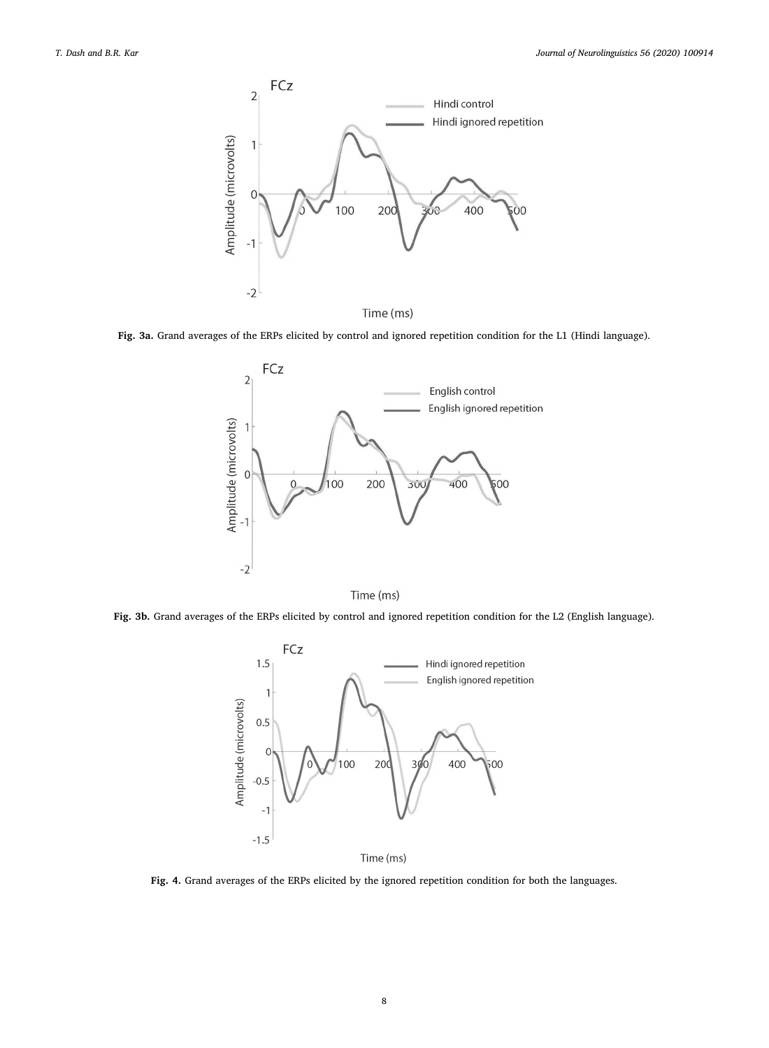<span id="page-7-0"></span>

**Fig. 3a.** Grand averages of the ERPs elicited by control and ignored repetition condition for the L1 (Hindi language).



Time (ms)

<span id="page-7-1"></span>**Fig. 3b.** Grand averages of the ERPs elicited by control and ignored repetition condition for the L2 (English language).



Time (ms)

**Fig. 4.** Grand averages of the ERPs elicited by the ignored repetition condition for both the languages.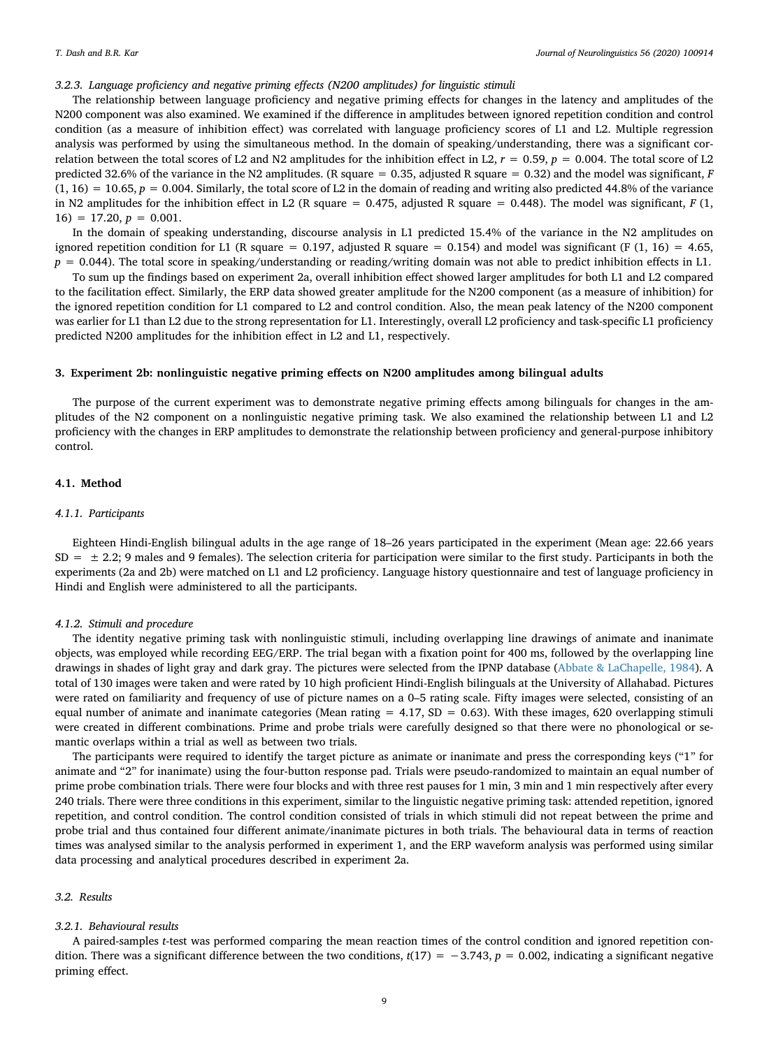## *3.2.3. Language proficiency and negative priming effects (N200 amplitudes) for linguistic stimuli*

The relationship between language proficiency and negative priming effects for changes in the latency and amplitudes of the N200 component was also examined. We examined if the difference in amplitudes between ignored repetition condition and control condition (as a measure of inhibition effect) was correlated with language proficiency scores of L1 and L2. Multiple regression analysis was performed by using the simultaneous method. In the domain of speaking/understanding, there was a significant correlation between the total scores of L2 and N2 amplitudes for the inhibition effect in L2,  $r = 0.59$ ,  $p = 0.004$ . The total score of L2 predicted 32.6% of the variance in the N2 amplitudes. (R square = 0.35, adjusted R square = 0.32) and the model was significant, *F*  $(1, 16) = 10.65$ ,  $p = 0.004$ . Similarly, the total score of L2 in the domain of reading and writing also predicted 44.8% of the variance in N2 amplitudes for the inhibition effect in L2 (R square =  $0.475$ , adjusted R square =  $0.448$ ). The model was significant, *F* (1,  $16) = 17.20, p = 0.001.$ 

In the domain of speaking understanding, discourse analysis in L1 predicted 15.4% of the variance in the N2 amplitudes on ignored repetition condition for L1 (R square = 0.197, adjusted R square = 0.154) and model was significant (F  $(1, 16) = 4.65$ ,  $p = 0.044$ ). The total score in speaking/understanding or reading/writing domain was not able to predict inhibition effects in L1.

To sum up the findings based on experiment 2a, overall inhibition effect showed larger amplitudes for both L1 and L2 compared to the facilitation effect. Similarly, the ERP data showed greater amplitude for the N200 component (as a measure of inhibition) for the ignored repetition condition for L1 compared to L2 and control condition. Also, the mean peak latency of the N200 component was earlier for L1 than L2 due to the strong representation for L1. Interestingly, overall L2 proficiency and task-specific L1 proficiency predicted N200 amplitudes for the inhibition effect in L2 and L1, respectively.

#### **3. Experiment 2b: nonlinguistic negative priming effects on N200 amplitudes among bilingual adults**

The purpose of the current experiment was to demonstrate negative priming effects among bilinguals for changes in the amplitudes of the N2 component on a nonlinguistic negative priming task. We also examined the relationship between L1 and L2 proficiency with the changes in ERP amplitudes to demonstrate the relationship between proficiency and general-purpose inhibitory control.

#### **4.1. Method**

#### *4.1.1. Participants*

Eighteen Hindi-English bilingual adults in the age range of 18–26 years participated in the experiment (Mean age: 22.66 years  $SD = \pm 2.2$ ; 9 males and 9 females). The selection criteria for participation were similar to the first study. Participants in both the experiments (2a and 2b) were matched on L1 and L2 proficiency. Language history questionnaire and test of language proficiency in Hindi and English were administered to all the participants.

#### *4.1.2. Stimuli and procedure*

The identity negative priming task with nonlinguistic stimuli, including overlapping line drawings of animate and inanimate objects, was employed while recording EEG/ERP. The trial began with a fixation point for 400 ms, followed by the overlapping line drawings in shades of light gray and dark gray. The pictures were selected from the IPNP database [\(Abbate & LaChapelle, 1984](#page-11-10)). A total of 130 images were taken and were rated by 10 high proficient Hindi-English bilinguals at the University of Allahabad. Pictures were rated on familiarity and frequency of use of picture names on a 0–5 rating scale. Fifty images were selected, consisting of an equal number of animate and inanimate categories (Mean rating  $= 4.17$ , SD  $= 0.63$ ). With these images, 620 overlapping stimuli were created in different combinations. Prime and probe trials were carefully designed so that there were no phonological or semantic overlaps within a trial as well as between two trials.

The participants were required to identify the target picture as animate or inanimate and press the corresponding keys ("1" for animate and "2" for inanimate) using the four-button response pad. Trials were pseudo-randomized to maintain an equal number of prime probe combination trials. There were four blocks and with three rest pauses for 1 min, 3 min and 1 min respectively after every 240 trials. There were three conditions in this experiment, similar to the linguistic negative priming task: attended repetition, ignored repetition, and control condition. The control condition consisted of trials in which stimuli did not repeat between the prime and probe trial and thus contained four different animate/inanimate pictures in both trials. The behavioural data in terms of reaction times was analysed similar to the analysis performed in experiment 1, and the ERP waveform analysis was performed using similar data processing and analytical procedures described in experiment 2a.

#### *3.2. Results*

#### *3.2.1. Behavioural results*

A paired-samples *t*-test was performed comparing the mean reaction times of the control condition and ignored repetition condition. There was a significant difference between the two conditions,  $t(17) = -3.743$ ,  $p = 0.002$ , indicating a significant negative priming effect.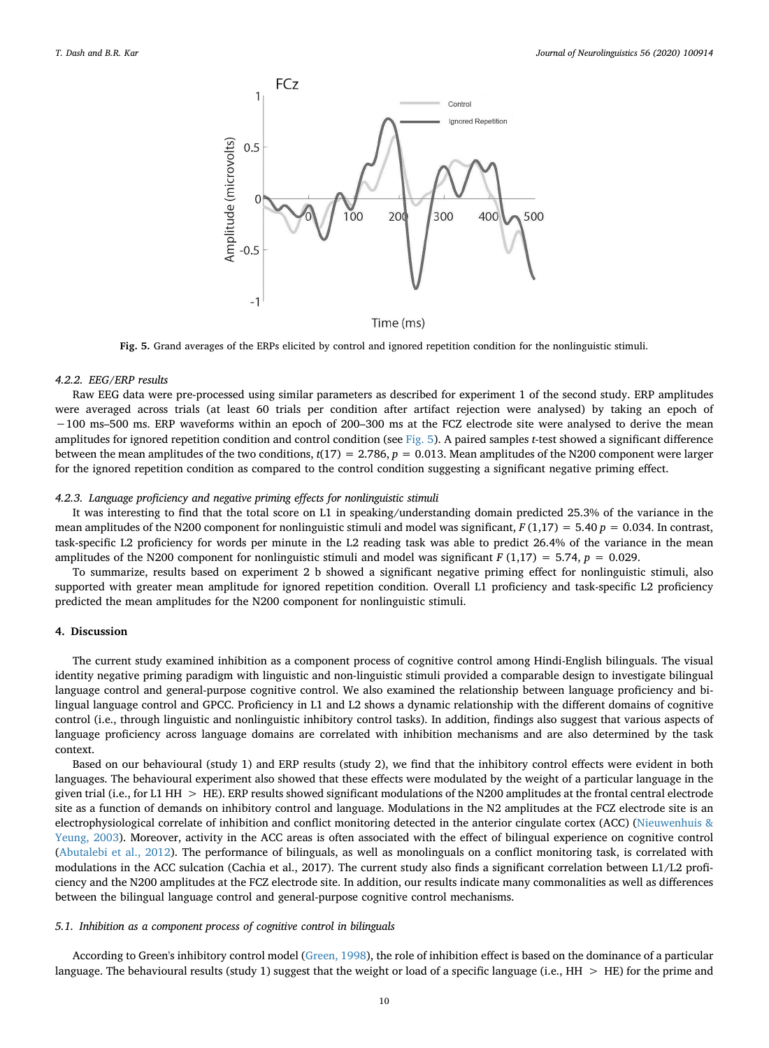<span id="page-9-0"></span>

Time (ms)

**Fig. 5.** Grand averages of the ERPs elicited by control and ignored repetition condition for the nonlinguistic stimuli.

#### *4.2.2. EEG/ERP results*

Raw EEG data were pre-processed using similar parameters as described for experiment 1 of the second study. ERP amplitudes were averaged across trials (at least 60 trials per condition after artifact rejection were analysed) by taking an epoch of −100 ms–500 ms. ERP waveforms within an epoch of 200–300 ms at the FCZ electrode site were analysed to derive the mean amplitudes for ignored repetition condition and control condition (see [Fig. 5](#page-9-0)). A paired samples *t*-test showed a significant difference between the mean amplitudes of the two conditions,  $t(17) = 2.786$ ,  $p = 0.013$ . Mean amplitudes of the N200 component were larger for the ignored repetition condition as compared to the control condition suggesting a significant negative priming effect.

#### *4.2.3. Language proficiency and negative priming effects for nonlinguistic stimuli*

It was interesting to find that the total score on L1 in speaking/understanding domain predicted 25.3% of the variance in the mean amplitudes of the N200 component for nonlinguistic stimuli and model was significant,  $F(1,17) = 5.40 p = 0.034$ . In contrast, task-specific L2 proficiency for words per minute in the L2 reading task was able to predict 26.4% of the variance in the mean amplitudes of the N200 component for nonlinguistic stimuli and model was significant *F* (1,17) = 5.74, *p* = 0.029.

To summarize, results based on experiment 2 b showed a significant negative priming effect for nonlinguistic stimuli, also supported with greater mean amplitude for ignored repetition condition. Overall L1 proficiency and task-specific L2 proficiency predicted the mean amplitudes for the N200 component for nonlinguistic stimuli.

## **4. Discussion**

The current study examined inhibition as a component process of cognitive control among Hindi-English bilinguals. The visual identity negative priming paradigm with linguistic and non-linguistic stimuli provided a comparable design to investigate bilingual language control and general-purpose cognitive control. We also examined the relationship between language proficiency and bilingual language control and GPCC. Proficiency in L1 and L2 shows a dynamic relationship with the different domains of cognitive control (i.e., through linguistic and nonlinguistic inhibitory control tasks). In addition, findings also suggest that various aspects of language proficiency across language domains are correlated with inhibition mechanisms and are also determined by the task context.

Based on our behavioural (study 1) and ERP results (study 2), we find that the inhibitory control effects were evident in both languages. The behavioural experiment also showed that these effects were modulated by the weight of a particular language in the given trial (i.e., for L1 HH  $>$  HE). ERP results showed significant modulations of the N200 amplitudes at the frontal central electrode site as a function of demands on inhibitory control and language. Modulations in the N2 amplitudes at the FCZ electrode site is an electrophysiological correlate of inhibition and conflict monitoring detected in the anterior cingulate cortex (ACC) [\(Nieuwenhuis &](#page-12-30) [Yeung, 2003](#page-12-30)). Moreover, activity in the ACC areas is often associated with the effect of bilingual experience on cognitive control [\(Abutalebi et al., 2012\)](#page-11-11). The performance of bilinguals, as well as monolinguals on a conflict monitoring task, is correlated with modulations in the ACC sulcation (Cachia et al., 2017). The current study also finds a significant correlation between L1/L2 proficiency and the N200 amplitudes at the FCZ electrode site. In addition, our results indicate many commonalities as well as differences between the bilingual language control and general-purpose cognitive control mechanisms.

#### *5.1. Inhibition as a component process of cognitive control in bilinguals*

According to Green's inhibitory control model [\(Green, 1998](#page-12-1)), the role of inhibition effect is based on the dominance of a particular language. The behavioural results (study 1) suggest that the weight or load of a specific language (i.e., HH > HE) for the prime and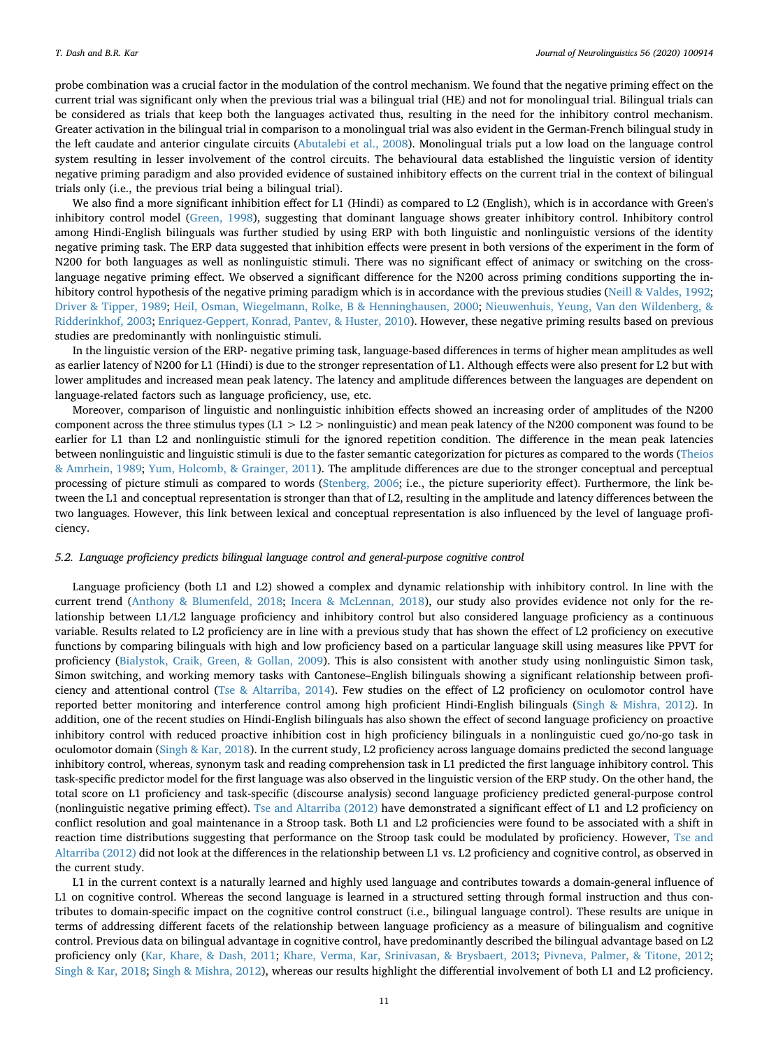probe combination was a crucial factor in the modulation of the control mechanism. We found that the negative priming effect on the current trial was significant only when the previous trial was a bilingual trial (HE) and not for monolingual trial. Bilingual trials can be considered as trials that keep both the languages activated thus, resulting in the need for the inhibitory control mechanism. Greater activation in the bilingual trial in comparison to a monolingual trial was also evident in the German-French bilingual study in the left caudate and anterior cingulate circuits [\(Abutalebi et al., 2008\)](#page-11-4). Monolingual trials put a low load on the language control system resulting in lesser involvement of the control circuits. The behavioural data established the linguistic version of identity negative priming paradigm and also provided evidence of sustained inhibitory effects on the current trial in the context of bilingual trials only (i.e., the previous trial being a bilingual trial).

We also find a more significant inhibition effect for L1 (Hindi) as compared to L2 (English), which is in accordance with Green's inhibitory control model ([Green, 1998](#page-12-1)), suggesting that dominant language shows greater inhibitory control. Inhibitory control among Hindi-English bilinguals was further studied by using ERP with both linguistic and nonlinguistic versions of the identity negative priming task. The ERP data suggested that inhibition effects were present in both versions of the experiment in the form of N200 for both languages as well as nonlinguistic stimuli. There was no significant effect of animacy or switching on the crosslanguage negative priming effect. We observed a significant difference for the N200 across priming conditions supporting the in-hibitory control hypothesis of the negative priming paradigm which is in accordance with the previous studies ([Neill & Valdes, 1992](#page-12-31); [Driver & Tipper, 1989](#page-12-32); [Heil, Osman, Wiegelmann, Rolke, B & Henninghausen, 2000](#page-12-33); [Nieuwenhuis, Yeung, Van den Wildenberg, &](#page-12-30) [Ridderinkhof, 2003;](#page-12-30) [Enriquez-Geppert, Konrad, Pantev, & Huster, 2010](#page-12-34)). However, these negative priming results based on previous studies are predominantly with nonlinguistic stimuli.

In the linguistic version of the ERP- negative priming task, language-based differences in terms of higher mean amplitudes as well as earlier latency of N200 for L1 (Hindi) is due to the stronger representation of L1. Although effects were also present for L2 but with lower amplitudes and increased mean peak latency. The latency and amplitude differences between the languages are dependent on language-related factors such as language proficiency, use, etc.

Moreover, comparison of linguistic and nonlinguistic inhibition effects showed an increasing order of amplitudes of the N200 component across the three stimulus types  $(L1 > L2 >$  nonlinguistic) and mean peak latency of the N200 component was found to be earlier for L1 than L2 and nonlinguistic stimuli for the ignored repetition condition. The difference in the mean peak latencies between nonlinguistic and linguistic stimuli is due to the faster semantic categorization for pictures as compared to the words [\(Theios](#page-13-3) [& Amrhein, 1989;](#page-13-3) [Yum, Holcomb, & Grainger, 2011\)](#page-13-4). The amplitude differences are due to the stronger conceptual and perceptual processing of picture stimuli as compared to words ([Stenberg, 2006;](#page-13-5) i.e., the picture superiority effect). Furthermore, the link between the L1 and conceptual representation is stronger than that of L2, resulting in the amplitude and latency differences between the two languages. However, this link between lexical and conceptual representation is also influenced by the level of language proficiency.

#### *5.2. Language proficiency predicts bilingual language control and general-purpose cognitive control*

Language proficiency (both L1 and L2) showed a complex and dynamic relationship with inhibitory control. In line with the current trend [\(Anthony & Blumenfeld, 2018](#page-11-9); [Incera & McLennan, 2018\)](#page-12-29), our study also provides evidence not only for the relationship between L1/L2 language proficiency and inhibitory control but also considered language proficiency as a continuous variable. Results related to L2 proficiency are in line with a previous study that has shown the effect of L2 proficiency on executive functions by comparing bilinguals with high and low proficiency based on a particular language skill using measures like PPVT for proficiency ([Bialystok, Craik, Green, & Gollan, 2009\)](#page-11-12). This is also consistent with another study using nonlinguistic Simon task, Simon switching, and working memory tasks with Cantonese–English bilinguals showing a significant relationship between proficiency and attentional control ([Tse & Altarriba, 2014](#page-13-6)). Few studies on the effect of L2 proficiency on oculomotor control have reported better monitoring and interference control among high proficient Hindi-English bilinguals ([Singh & Mishra, 2012](#page-13-7)). In addition, one of the recent studies on Hindi-English bilinguals has also shown the effect of second language proficiency on proactive inhibitory control with reduced proactive inhibition cost in high proficiency bilinguals in a nonlinguistic cued go/no-go task in oculomotor domain [\(Singh & Kar, 2018](#page-12-35)). In the current study, L2 proficiency across language domains predicted the second language inhibitory control, whereas, synonym task and reading comprehension task in L1 predicted the first language inhibitory control. This task-specific predictor model for the first language was also observed in the linguistic version of the ERP study. On the other hand, the total score on L1 proficiency and task-specific (discourse analysis) second language proficiency predicted general-purpose control (nonlinguistic negative priming effect). [Tse and Altarriba \(2012\)](#page-13-8) have demonstrated a significant effect of L1 and L2 proficiency on conflict resolution and goal maintenance in a Stroop task. Both L1 and L2 proficiencies were found to be associated with a shift in reaction time distributions suggesting that performance on the Stroop task could be modulated by proficiency. However, [Tse and](#page-13-8) [Altarriba \(2012\)](#page-13-8) did not look at the differences in the relationship between L1 vs. L2 proficiency and cognitive control, as observed in the current study.

L1 in the current context is a naturally learned and highly used language and contributes towards a domain-general influence of L1 on cognitive control. Whereas the second language is learned in a structured setting through formal instruction and thus contributes to domain-specific impact on the cognitive control construct (i.e., bilingual language control). These results are unique in terms of addressing different facets of the relationship between language proficiency as a measure of bilingualism and cognitive control. Previous data on bilingual advantage in cognitive control, have predominantly described the bilingual advantage based on L2 proficiency only ([Kar, Khare, & Dash, 2011;](#page-12-36) [Khare, Verma, Kar, Srinivasan, & Brysbaert, 2013;](#page-12-37) [Pivneva, Palmer, & Titone, 2012](#page-12-38); [Singh & Kar, 2018;](#page-12-35) [Singh & Mishra, 2012](#page-13-7)), whereas our results highlight the differential involvement of both L1 and L2 proficiency.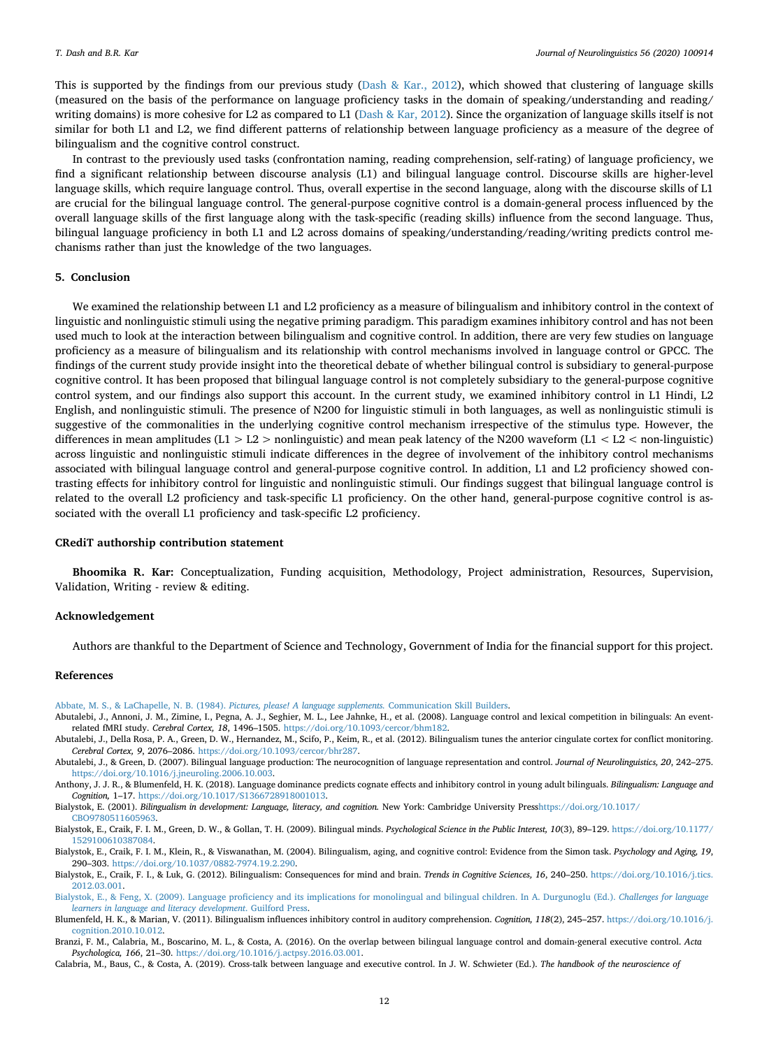This is supported by the findings from our previous study [\(Dash & Kar., 2012\)](#page-12-25), which showed that clustering of language skills (measured on the basis of the performance on language proficiency tasks in the domain of speaking/understanding and reading/ writing domains) is more cohesive for L2 as compared to L1 [\(Dash & Kar, 2012\)](#page-12-25). Since the organization of language skills itself is not similar for both L1 and L2, we find different patterns of relationship between language proficiency as a measure of the degree of bilingualism and the cognitive control construct.

In contrast to the previously used tasks (confrontation naming, reading comprehension, self-rating) of language proficiency, we find a significant relationship between discourse analysis (L1) and bilingual language control. Discourse skills are higher-level language skills, which require language control. Thus, overall expertise in the second language, along with the discourse skills of L1 are crucial for the bilingual language control. The general-purpose cognitive control is a domain-general process influenced by the overall language skills of the first language along with the task-specific (reading skills) influence from the second language. Thus, bilingual language proficiency in both L1 and L2 across domains of speaking/understanding/reading/writing predicts control mechanisms rather than just the knowledge of the two languages.

#### **5. Conclusion**

We examined the relationship between L1 and L2 proficiency as a measure of bilingualism and inhibitory control in the context of linguistic and nonlinguistic stimuli using the negative priming paradigm. This paradigm examines inhibitory control and has not been used much to look at the interaction between bilingualism and cognitive control. In addition, there are very few studies on language proficiency as a measure of bilingualism and its relationship with control mechanisms involved in language control or GPCC. The findings of the current study provide insight into the theoretical debate of whether bilingual control is subsidiary to general-purpose cognitive control. It has been proposed that bilingual language control is not completely subsidiary to the general-purpose cognitive control system, and our findings also support this account. In the current study, we examined inhibitory control in L1 Hindi, L2 English, and nonlinguistic stimuli. The presence of N200 for linguistic stimuli in both languages, as well as nonlinguistic stimuli is suggestive of the commonalities in the underlying cognitive control mechanism irrespective of the stimulus type. However, the differences in mean amplitudes  $(L1 > L2 >$  nonlinguistic) and mean peak latency of the N200 waveform  $(L1 < L2 <$  non-linguistic) across linguistic and nonlinguistic stimuli indicate differences in the degree of involvement of the inhibitory control mechanisms associated with bilingual language control and general-purpose cognitive control. In addition, L1 and L2 proficiency showed contrasting effects for inhibitory control for linguistic and nonlinguistic stimuli. Our findings suggest that bilingual language control is related to the overall L2 proficiency and task-specific L1 proficiency. On the other hand, general-purpose cognitive control is associated with the overall L1 proficiency and task-specific L2 proficiency.

#### **CRediT authorship contribution statement**

**Bhoomika R. Kar:** Conceptualization, Funding acquisition, Methodology, Project administration, Resources, Supervision, Validation, Writing - review & editing.

#### **Acknowledgement**

Authors are thankful to the Department of Science and Technology, Government of India for the financial support for this project.

#### **References**

<span id="page-11-10"></span>[Abbate, M. S., & LaChapelle, N. B. \(1984\).](http://refhub.elsevier.com/S0911-6044(19)30102-2/sref1) *Pictures, please! A language supplements.* Communication Skill Builders.

- <span id="page-11-4"></span>Abutalebi, J., Annoni, J. M., Zimine, I., Pegna, A. J., Seghier, M. L., Lee Jahnke, H., et al. (2008). Language control and lexical competition in bilinguals: An eventrelated fMRI study. *Cerebral Cortex, 18*, 1496–1505. [https://doi.org/10.1093/cercor/bhm182.](https://doi.org/10.1093/cercor/bhm182)
- <span id="page-11-11"></span>Abutalebi, J., Della Rosa, P. A., Green, D. W., Hernandez, M., Scifo, P., Keim, R., et al. (2012). Bilingualism tunes the anterior cingulate cortex for conflict monitoring. *Cerebral Cortex, 9*, 2076–2086. <https://doi.org/10.1093/cercor/bhr287>.
- <span id="page-11-1"></span>Abutalebi, J., & Green, D. (2007). Bilingual language production: The neurocognition of language representation and control. *Journal of Neurolinguistics, 20*, 242–275. [https://doi.org/10.1016/j.jneuroling.2006.10.003.](https://doi.org/10.1016/j.jneuroling.2006.10.003)

<span id="page-11-9"></span>Anthony, J. J. R., & Blumenfeld, H. K. (2018). Language dominance predicts cognate effects and inhibitory control in young adult bilinguals. *Bilingualism: Language and Cognition,* 1–17. [https://doi.org/10.1017/S1366728918001013.](https://doi.org/10.1017/S1366728918001013)

<span id="page-11-7"></span>Bialystok, E. (2001). *Bilingualism in development: Language, literacy, and cognition.* New York: Cambridge University Pres[shttps://doi.org/10.1017/](https://doi.org/10.1017/CBO9780511605963) [CBO9780511605963](https://doi.org/10.1017/CBO9780511605963).

<span id="page-11-12"></span>Bialystok, E., Craik, F. I. M., Green, D. W., & Gollan, T. H. (2009). Bilingual minds. *Psychological Science in the Public Interest, 10*(3), 89–129. [https://doi.org/10.1177/](https://doi.org/10.1177/1529100610387084) [1529100610387084](https://doi.org/10.1177/1529100610387084).

<span id="page-11-0"></span>Bialystok, E., Craik, F. I. M., Klein, R., & Viswanathan, M. (2004). Bilingualism, aging, and cognitive control: Evidence from the Simon task. *Psychology and Aging, 19*, 290–303. [https://doi.org/10.1037/0882-7974.19.2.290.](https://doi.org/10.1037/0882-7974.19.2.290)

<span id="page-11-5"></span>Bialystok, E., Craik, F. I., & Luk, G. (2012). Bilingualism: Consequences for mind and brain. *Trends in Cognitive Sciences, 16*, 240–250. [https://doi.org/10.1016/j.tics.](https://doi.org/10.1016/j.tics.2012.03.001) [2012.03.001.](https://doi.org/10.1016/j.tics.2012.03.001)

<span id="page-11-8"></span>[Bialystok, E., & Feng, X. \(2009\). Language proficiency and its implications for monolingual and bilingual children. In A. Durgunoglu \(Ed.\).](http://refhub.elsevier.com/S0911-6044(19)30102-2/sref10) *Challenges for language [learners in language and literacy development](http://refhub.elsevier.com/S0911-6044(19)30102-2/sref10)*. Guilford Press.

<span id="page-11-6"></span>Blumenfeld, H. K., & Marian, V. (2011). Bilingualism influences inhibitory control in auditory comprehension. *Cognition, 118*(2), 245–257. [https://doi.org/10.1016/j.](https://doi.org/10.1016/j.cognition.2010.10.012) [cognition.2010.10.012](https://doi.org/10.1016/j.cognition.2010.10.012).

<span id="page-11-3"></span>Branzi, F. M., Calabria, M., Boscarino, M. L., & Costa, A. (2016). On the overlap between bilingual language control and domain-general executive control. *Acta Psychologica, 166*, 21–30. [https://doi.org/10.1016/j.actpsy.2016.03.001.](https://doi.org/10.1016/j.actpsy.2016.03.001)

<span id="page-11-2"></span>Calabria, M., Baus, C., & Costa, A. (2019). Cross-talk between language and executive control. In J. W. Schwieter (Ed.). *The handbook of the neuroscience of*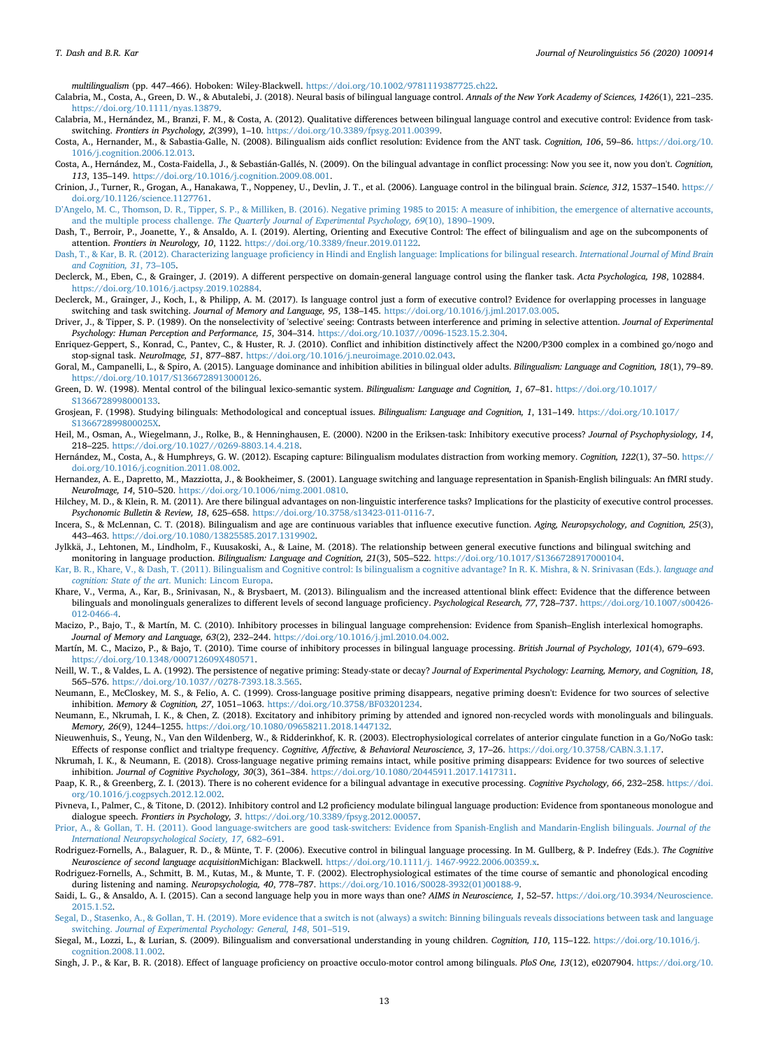*multilingualism* (pp. 447–466). Hoboken: Wiley-Blackwell. [https://doi.org/10.1002/9781119387725.ch22.](https://doi.org/10.1002/9781119387725.ch22)

<span id="page-12-2"></span>Calabria, M., Costa, A., Green, D. W., & Abutalebi, J. (2018). Neural basis of bilingual language control. *Annals of the New York Academy of Sciences, 1426*(1), 221–235. <https://doi.org/10.1111/nyas.13879>.

<span id="page-12-5"></span>Calabria, M., Hernández, M., Branzi, F. M., & Costa, A. (2012). Qualitative differences between bilingual language control and executive control: Evidence from taskswitching. *Frontiers in Psychology, 2*(399), 1–10. <https://doi.org/10.3389/fpsyg.2011.00399>.

<span id="page-12-0"></span>Costa, A., Hernander, M., & Sabastia-Galle, N. (2008). Bilingualism aids conflict resolution: Evidence from the ANT task. *Cognition, 106*, 59–86. [https://doi.org/10.](https://doi.org/10.1016/j.cognition.2006.12.013) [1016/j.cognition.2006.12.013](https://doi.org/10.1016/j.cognition.2006.12.013).

<span id="page-12-24"></span>Costa, A., Hernández, M., Costa-Faidella, J., & Sebastián-Gallés, N. (2009). On the bilingual advantage in conflict processing: Now you see it, now you don't. *Cognition, 113*, 135–149. [https://doi.org/10.1016/j.cognition.2009.08.001.](https://doi.org/10.1016/j.cognition.2009.08.001)

<span id="page-12-9"></span>Crinion, J., Turner, R., Grogan, A., Hanakawa, T., Noppeney, U., Devlin, J. T., et al. (2006). Language control in the bilingual brain. *Science, 312*, 1537–1540. [https://](https://doi.org/10.1126/science.1127761) [doi.org/10.1126/science.1127761.](https://doi.org/10.1126/science.1127761)

<span id="page-12-14"></span>[D'Angelo, M. C., Thomson, D. R., Tipper, S. P., & Milliken, B. \(2016\). Negative priming 1985 to 2015: A measure of inhibition, the emergence of alternative accounts,](http://refhub.elsevier.com/S0911-6044(19)30102-2/opt8OtAX1QUDj) and the multiple process challenge. *[The Quarterly Journal of Experimental Psychology, 69](http://refhub.elsevier.com/S0911-6044(19)30102-2/opt8OtAX1QUDj)*(10), 1890–1909.

<span id="page-12-27"></span>Dash, T., Berroir, P., Joanette, Y., & Ansaldo, A. I. (2019). Alerting, Orienting and Executive Control: The effect of bilingualism and age on the subcomponents of attention. *Frontiers in Neurology, 10*, 1122. [https://doi.org/10.3389/fneur.2019.01122.](https://doi.org/10.3389/fneur.2019.01122)

<span id="page-12-25"></span>[Dash, T., & Kar, B. R. \(2012\). Characterizing language proficiency in Hindi and English language: Implications for bilingual research.](http://refhub.elsevier.com/S0911-6044(19)30102-2/sref21) *International Journal of Mind Brain [and Cognition, 31](http://refhub.elsevier.com/S0911-6044(19)30102-2/sref21)*, 73–105.

<span id="page-12-8"></span>Declerck, M., Eben, C., & Grainger, J. (2019). A different perspective on domain-general language control using the flanker task. *Acta Psychologica, 198*, 102884. [https://doi.org/10.1016/j.actpsy.2019.102884.](https://doi.org/10.1016/j.actpsy.2019.102884)

<span id="page-12-3"></span>Declerck, M., Grainger, J., Koch, I., & Philipp, A. M. (2017). Is language control just a form of executive control? Evidence for overlapping processes in language switching and task switching. *Journal of Memory and Language, 95*, 138–145. <https://doi.org/10.1016/j.jml.2017.03.005>.

<span id="page-12-32"></span>Driver, J., & Tipper, S. P. (1989). On the nonselectivity of 'selective' seeing: Contrasts between interference and priming in selective attention. *Journal of Experimental Psychology: Human Perception and Performance, 15*, 304–314. [https://doi.org/10.1037//0096-1523.15.2.304.](https://doi.org/10.1037//0096-1523.15.2.304)

<span id="page-12-34"></span>Enriquez-Geppert, S., Konrad, C., Pantev, C., & Huster, R. J. (2010). Conflict and inhibition distinctively affect the N200/P300 complex in a combined go/nogo and stop-signal task. *NeuroImage, 51*, 877–887. [https://doi.org/10.1016/j.neuroimage.2010.02.043.](https://doi.org/10.1016/j.neuroimage.2010.02.043)

<span id="page-12-28"></span>Goral, M., Campanelli, L., & Spiro, A. (2015). Language dominance and inhibition abilities in bilingual older adults. *Bilingualism: Language and Cognition, 18*(1), 79–89. <https://doi.org/10.1017/S1366728913000126>.

<span id="page-12-1"></span>Green, D. W. (1998). Mental control of the bilingual lexico-semantic system. *Bilingualism: Language and Cognition, 1*, 67–81. [https://doi.org/10.1017/](https://doi.org/10.1017/S1366728998000133) [S1366728998000133.](https://doi.org/10.1017/S1366728998000133)

<span id="page-12-20"></span>Grosjean, F. (1998). Studying bilinguals: Methodological and conceptual issues. *Bilingualism: Language and Cognition, 1*, 131–149. [https://doi.org/10.1017/](https://doi.org/10.1017/S136672899800025X) [S136672899800025X](https://doi.org/10.1017/S136672899800025X).

<span id="page-12-33"></span>Heil, M., Osman, A., Wiegelmann, J., Rolke, B., & Henninghausen, E. (2000). N200 in the Eriksen-task: Inhibitory executive process? *Journal of Psychophysiology, 14*, 218–225. <https://doi.org/10.1027//0269-8803.14.4.218>.

<span id="page-12-13"></span>Hernández, M., Costa, A., & Humphreys, G. W. (2012). Escaping capture: Bilingualism modulates distraction from working memory. *Cognition, 122*(1), 37–50. [https://](https://doi.org/10.1016/j.cognition.2011.08.002) [doi.org/10.1016/j.cognition.2011.08.002](https://doi.org/10.1016/j.cognition.2011.08.002).

<span id="page-12-10"></span>Hernandez, A. E., Dapretto, M., Mazziotta, J., & Bookheimer, S. (2001). Language switching and language representation in Spanish-English bilinguals: An fMRI study. *NeuroImage, 14*, 510–520. [https://doi.org/10.1006/nimg.2001.0810.](https://doi.org/10.1006/nimg.2001.0810)

<span id="page-12-21"></span>Hilchey, M. D., & Klein, R. M. (2011). Are there bilingual advantages on non-linguistic interference tasks? Implications for the plasticity of executive control processes. *Psychonomic Bulletin & Review, 18*, 625–658. <https://doi.org/10.3758/s13423-011-0116-7>.

<span id="page-12-29"></span>Incera, S., & McLennan, C. T. (2018). Bilingualism and age are continuous variables that influence executive function. *Aging, Neuropsychology, and Cognition, 25*(3), 443–463. <https://doi.org/10.1080/13825585.2017.1319902>.

<span id="page-12-6"></span>Jylkkä, J., Lehtonen, M., Lindholm, F., Kuusakoski, A., & Laine, M. (2018). The relationship between general executive functions and bilingual switching and monitoring in language production. *Bilingualism: Language and Cognition, 21*(3), 505–522. <https://doi.org/10.1017/S1366728917000104>.

<span id="page-12-36"></span>[Kar, B. R., Khare, V., & Dash, T. \(2011\). Bilingualism and Cognitive control: Is bilingualism a cognitive advantage? In R. K. Mishra, & N. Srinivasan \(Eds.\).](http://refhub.elsevier.com/S0911-6044(19)30102-2/sref36) *language and cognition: State of the art*[. Munich: Lincom Europa.](http://refhub.elsevier.com/S0911-6044(19)30102-2/sref36)

<span id="page-12-37"></span>Khare, V., Verma, A., Kar, B., Srinivasan, N., & Brysbaert, M. (2013). Bilingualism and the increased attentional blink effect: Evidence that the difference between bilinguals and monolinguals generalizes to different levels of second language proficiency. *Psychological Research, 77*, 728–737. [https://doi.org/10.1007/s00426-](https://doi.org/10.1007/s00426-012-0466-4) [012-0466-4.](https://doi.org/10.1007/s00426-012-0466-4)

<span id="page-12-15"></span>Macizo, P., Bajo, T., & Martín, M. C. (2010). Inhibitory processes in bilingual language comprehension: Evidence from Spanish–English interlexical homographs. *Journal of Memory and Language, 63*(2), 232–244. <https://doi.org/10.1016/j.jml.2010.04.002>.

<span id="page-12-16"></span>Martín, M. C., Macizo, P., & Bajo, T. (2010). Time course of inhibitory processes in bilingual language processing. *British Journal of Psychology, 101*(4), 679–693. [https://doi.org/10.1348/000712609X480571.](https://doi.org/10.1348/000712609X480571)

<span id="page-12-31"></span>Neill, W. T., & Valdes, L. A. (1992). The persistence of negative priming: Steady-state or decay? *Journal of Experimental Psychology: Learning, Memory, and Cognition, 18*, 565–576. <https://doi.org/10.1037//0278-7393.18.3.565>.

<span id="page-12-17"></span>Neumann, E., McCloskey, M. S., & Felio, A. C. (1999). Cross-language positive priming disappears, negative priming doesn't: Evidence for two sources of selective inhibition. *Memory & Cognition, 27*, 1051–1063. <https://doi.org/10.3758/BF03201234>.

<span id="page-12-18"></span>Neumann, E., Nkrumah, I. K., & Chen, Z. (2018). Excitatory and inhibitory priming by attended and ignored non-recycled words with monolinguals and bilinguals. *Memory, 26*(9), 1244–1255. [https://doi.org/10.1080/09658211.2018.1447132.](https://doi.org/10.1080/09658211.2018.1447132)

<span id="page-12-30"></span>Nieuwenhuis, S., Yeung, N., Van den Wildenberg, W., & Ridderinkhof, K. R. (2003). Electrophysiological correlates of anterior cingulate function in a Go/NoGo task: Effects of response conflict and trialtype frequency. *Cognitive, Affective, & Behavioral Neuroscience, 3*, 17–26. <https://doi.org/10.3758/CABN.3.1.17>.

<span id="page-12-19"></span>Nkrumah, I. K., & Neumann, E. (2018). Cross-language negative priming remains intact, while positive priming disappears: Evidence for two sources of selective inhibition. *Journal of Cognitive Psychology, 30*(3), 361–384. [https://doi.org/10.1080/20445911.2017.1417311.](https://doi.org/10.1080/20445911.2017.1417311)

<span id="page-12-22"></span>Paap, K. R., & Greenberg, Z. I. (2013). There is no coherent evidence for a bilingual advantage in executive processing. *Cognitive Psychology, 66*, 232–258. [https://doi.](https://doi.org/10.1016/j.cogpsych.2012.12.002) [org/10.1016/j.cogpsych.2012.12.002.](https://doi.org/10.1016/j.cogpsych.2012.12.002)

<span id="page-12-38"></span>Pivneva, I., Palmer, C., & Titone, D. (2012). Inhibitory control and L2 proficiency modulate bilingual language production: Evidence from spontaneous monologue and dialogue speech. *Frontiers in Psychology, 3*. <https://doi.org/10.3389/fpsyg.2012.00057>.

<span id="page-12-4"></span>[Prior, A., & Gollan, T. H. \(2011\). Good language-switchers are good task-switchers: Evidence from Spanish-English and Mandarin-English bilinguals.](http://refhub.elsevier.com/S0911-6044(19)30102-2/sref47) *Journal of the [International Neuropsychological Society, 17](http://refhub.elsevier.com/S0911-6044(19)30102-2/sref47)*, 682–691.

<span id="page-12-12"></span>Rodriguez-Fornells, A., Balaguer, R. D., & Münte, T. F. (2006). Executive control in bilingual language processing. In M. Gullberg, & P. Indefrey (Eds.). *The Cognitive Neuroscience of second language acquisition*Michigan: Blackwell. <https://doi.org/10.1111/j. 1467-9922.2006.00359.x>.

<span id="page-12-11"></span>Rodriguez-Fornells, A., Schmitt, B. M., Kutas, M., & Munte, T. F. (2002). Electrophysiological estimates of the time course of semantic and phonological encoding during listening and naming. *Neuropsychologia, 40*, 778–787. [https://doi.org/10.1016/S0028-3932\(01\)00188-9.](https://doi.org/10.1016/S0028-3932(01)00188-9)

<span id="page-12-23"></span>Saidi, L. G., & Ansaldo, A. I. (2015). Can a second language help you in more ways than one? *AIMS in Neuroscience, 1*, 52–57. [https://doi.org/10.3934/Neuroscience.](https://doi.org/10.3934/Neuroscience.2015.1.52) [2015.1.52.](https://doi.org/10.3934/Neuroscience.2015.1.52)

<span id="page-12-7"></span>[Segal, D., Stasenko, A., & Gollan, T. H. \(2019\). More evidence that a switch is not \(always\) a switch: Binning bilinguals reveals dissociations between task and language](http://refhub.elsevier.com/S0911-6044(19)30102-2/sref51) switching. *[Journal of Experimental Psychology: General, 148](http://refhub.elsevier.com/S0911-6044(19)30102-2/sref51)*, 501–519.

<span id="page-12-26"></span>Siegal, M., Lozzi, L., & Lurian, S. (2009). Bilingualism and conversational understanding in young children. *Cognition, 110*, 115–122. [https://doi.org/10.1016/j.](https://doi.org/10.1016/j.cognition.2008.11.002) [cognition.2008.11.002](https://doi.org/10.1016/j.cognition.2008.11.002).

<span id="page-12-35"></span>Singh, J. P., & Kar, B. R. (2018). Effect of language proficiency on proactive occulo-motor control among bilinguals. *PloS One, 13*(12), e0207904. [https://doi.org/10.](https://doi.org/10.1371/journal.pone.0207904)